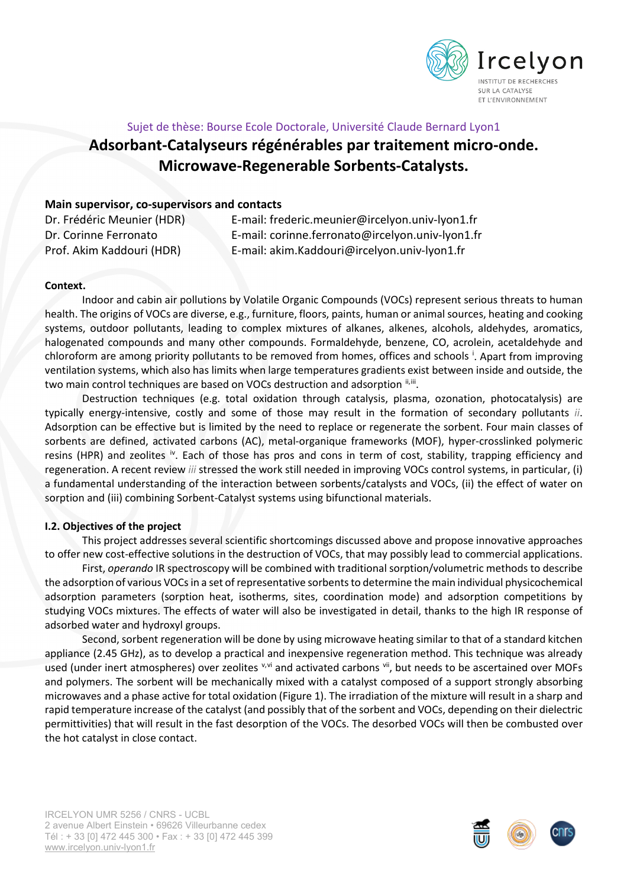<span id="page-0-1"></span><span id="page-0-0"></span>

# Sujet de thèse: Bourse Ecole Doctorale, Université Claude Bernard Lyon1 **Adsorbant-Catalyseurs régénérables par traitement micro-onde. Microwave-Regenerable Sorbents-Catalysts.**

## **Main supervisor, co-supervisors and contacts**

| Dr. Frédéric Meunier (HDR) | E-mail: frederic.meunier@ircelyon.univ-lyon1.fr  |
|----------------------------|--------------------------------------------------|
| Dr. Corinne Ferronato      | E-mail: corinne.ferronato@ircelyon.univ-lyon1.fr |
| Prof. Akim Kaddouri (HDR)  | E-mail: akim.Kaddouri@ircelyon.univ-lyon1.fr     |

#### **Context.**

Indoor and cabin air pollutions by Volatile Organic Compounds (VOCs) represent serious threats to human health. The origins of VOCs are diverse, e.g., furniture, floors, paints, human or animal sources, heating and cooking systems, outdoor pollutants, leading to complex mixtures of alkanes, alkenes, alcohols, aldehydes, aromatics, halogenated compounds and many other compounds. Formaldehyde, benzene, CO, acrolein, acetaldehyde and chloroform are among pr[i](#page-1-0)ority pollutants to be removed from homes, offices and schools <sup>i</sup>. Apart from improving ventilation systems, which also has limits when large temperatures gradients exist between inside and outside, the two main control techniques are based on VOCs destruction and adsorption  $\mathbb{I}$ ,  $\mathbb{II}$ .

Destruction techniques (e.g. total oxidation through catalysis, plasma, ozonation, photocatalysis) are typically energy-intensive, costly and some of those may result in the formation of secondary pollutants *[ii](#page-0-0)*. Adsorption can be effective but is limited by the need to replace or regenerate the sorbent. Four main classes of sorbents are defined, activated carbons (AC), metal-organique frameworks (MOF), hyper-crosslinked polymeric resins (HPR) and zeolites <sup>[iv](#page-1-3)</sup>. Each of those has pros and cons in term of cost, stability, trapping efficiency and regeneration. A recent review *[iii](#page-0-1)* stressed the work still needed in improving VOCs control systems, in particular, (i) a fundamental understanding of the interaction between sorbents/catalysts and VOCs, (ii) the effect of water on sorption and (iii) combining Sorbent-Catalyst systems using bifunctional materials.

### **I.2. Objectives of the project**

This project addresses several scientific shortcomings discussed above and propose innovative approaches to offer new cost-effective solutions in the destruction of VOCs, that may possibly lead to commercial applications.

First, *operando* IR spectroscopy will be combined with traditional sorption/volumetric methods to describe the adsorption of various VOCs in a set of representative sorbents to determine the main individual physicochemical adsorption parameters (sorption heat, isotherms, sites, coordination mode) and adsorption competitions by studying VOCs mixtures. The effects of water will also be investigated in detail, thanks to the high IR response of adsorbed water and hydroxyl groups.

Second, sorbent regeneration will be done by using microwave heating similar to that of a standard kitchen appliance (2.45 GHz), as to develop a practical and inexpensive regeneration method. This technique was already used (under inert atmospheres) o[v](#page-1-4)er zeolites v,[vi](#page-1-5) and activated carbons [vii,](#page-1-6) but needs to be ascertained over MOFs and polymers. The sorbent will be mechanically mixed with a catalyst composed of a support strongly absorbing microwaves and a phase active for total oxidation (Figure 1). The irradiation of the mixture will result in a sharp and rapid temperature increase of the catalyst (and possibly that of the sorbent and VOCs, depending on their dielectric permittivities) that will result in the fast desorption of the VOCs. The desorbed VOCs will then be combusted over the hot catalyst in close contact.